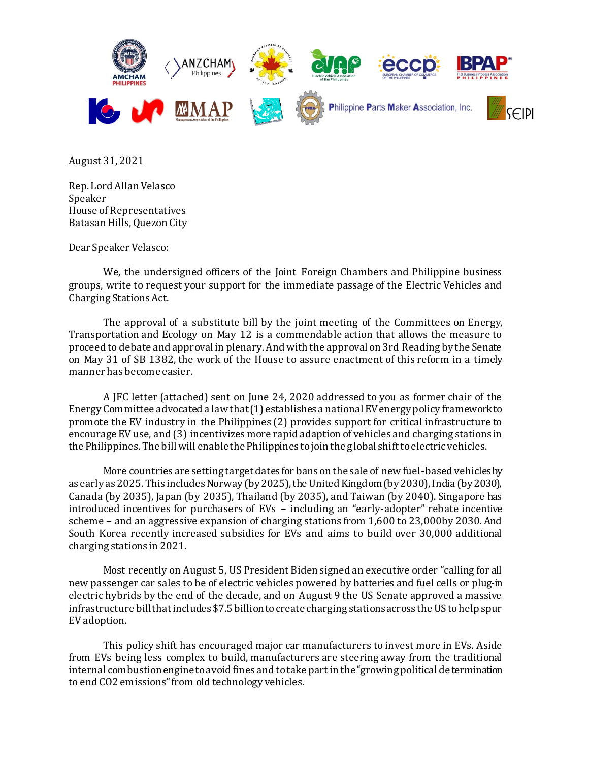

August 31, 2021

Rep. Lord Allan Velasco Speaker House of Representatives Batasan Hills, Quezon City

Dear Speaker Velasco:

We, the undersigned officers of the Joint Foreign Chambers and Philippine business groups, write to request your support for the immediate passage of the Electric Vehicles and Charging Stations Act.

The approval of a substitute bill by the joint meeting of the Committees on Energy, Transportation and Ecology on May 12 is a commendable action that allows the measure to proceed to debate and approval in plenary. And with the approval on 3rd Reading by the Senate on May 31 of SB 1382, the work of the House to assure enactment of this reform in a timely manner has become easier.

A JFC letter (attached) sent on June 24, 2020 addressed to you as former chair of the Energy Committee advocated a law that (1) establishes a national EV energy policy framework to promote the EV industry in the Philippines (2) provides support for critical infrastructure to encourage EV use, and (3) incentivizes more rapid adaption of vehicles and charging stations in the Philippines. The bill will enable the Philippines to join the global shift to electric vehicles.

More countries are setting target dates for bans on the sale of new fuel-based vehicles by as early as 2025. This includes Norway (by 2025), the United Kingdom (by 2030), India (by 2030), Canada (by 2035), Japan (by 2035), Thailand (by 2035), and Taiwan (by 2040). Singapore has introduced incentives for purchasers of EVs – including an "early-adopter" rebate incentive scheme – and an aggressive expansion of charging stations from 1,600 to 23,000by 2030. And South Korea recently increased subsidies for EVs and aims to build over 30,000 additional charging stations in 2021.

Most recently on August 5, US President Biden signed an executive order "calling for all new passenger car sales to be of electric vehicles powered by batteries and fuel cells or plug-in electric hybrids by the end of the decade, and on August 9 the US Senate approved a massive infrastructure bill that includes \$7.5 billion to create charging stations across the US to help spur EV adoption.

This policy shift has encouraged major car manufacturers to invest more in EVs. Aside from EVs being less complex to build, manufacturers are steering away from the traditional internal combustion engine to avoid fines and to take part in the "growing political determination to end CO2 emissions" from old technology vehicles.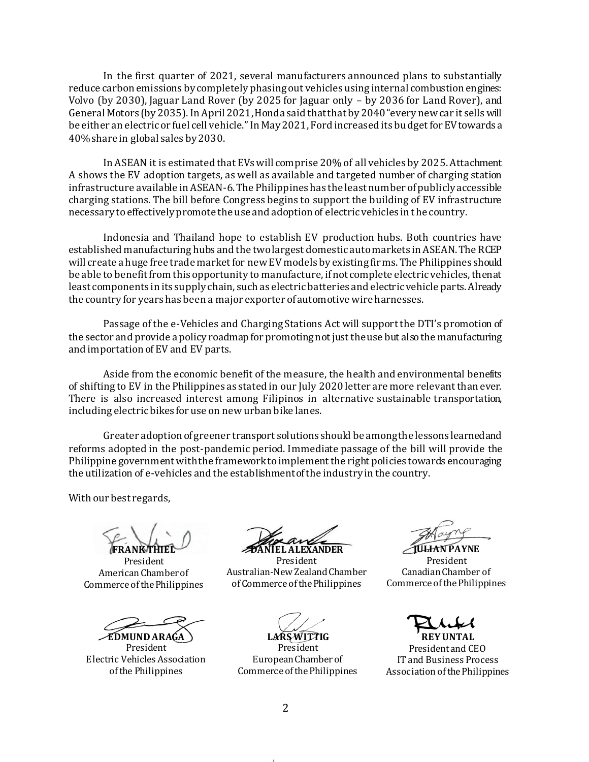In the first quarter of 2021, several manufacturers announced plans to substantially reduce carbon emissions by completely phasing out vehicles using internal combustion engines: Volvo (by 2030), Jaguar Land Rover (by 2025 for Jaguar only – by 2036 for Land Rover), and General Motors (by 2035). In April 2021, Honda said that that by 2040 "every new car it sells will be either an electric or fuel cell vehicle." In May 2021, Ford increased its budget for EV towards a 40% share in global sales by 2030.

In ASEAN it is estimated that EVs will comprise 20% of all vehicles by 2025. Attachment A shows the EV adoption targets, as well as available and targeted number of charging station infrastructure available in ASEAN-6. The Philippines has the least number of publicly accessible charging stations. The bill before Congress begins to support the building of EV infrastructure necessary to effectively promote the use and adoption of electric vehicles in the country.

Indonesia and Thailand hope to establish EV production hubs. Both countries have established manufacturing hubs and the two largest domestic auto markets in ASEAN. The RCEP will create a huge free trade market for new EV models by existing firms. The Philippines should be able to benefit from this opportunity to manufacture, if not complete electric vehicles, then at least components in its supply chain, such as electric batteries and electric vehicle parts. Already the country for years has been a major exporter of automotive wire harnesses.

Passage of the e-Vehicles and Charging Stations Act will support the DTI's promotion of the sector and provide a policy roadmap for promoting not just the use but also the manufacturing and importation of EV and EV parts.

Aside from the economic benefit of the measure, the health and environmental benefits of shifting to EV in the Philippines as stated in our July 2020 letter are more relevant than ever. There is also increased interest among Filipinos in alternative sustainable transportation, including electric bikes for use on new urban bike lanes.

Greater adoption of greener transport solutions should be among the lessons learned and reforms adopted in the post-pandemic period. Immediate passage of the bill will provide the Philippine government with the framework to implement the right policies towards encouraging the utilization of e-vehicles and the establishment of the industry in the country.

With our best regards,

**FRANK THIEL**

President American Chamber of Commerce of the Philippines

**EDMUND ARAGA**

President Electric Vehicles Association of the Philippines

**DANIEL ALEXANDER**

President Australian-New Zealand Chamber of Commerce of the Philippines

**LARS WITTIG**

President European Chamber of Commerce of the Philippines

**JEHAN PAYNE** President Canadian Chamber of Commerce of the Philippines

**REY UNTAL**

President and CEO IT and Business Process Association of the Philippines